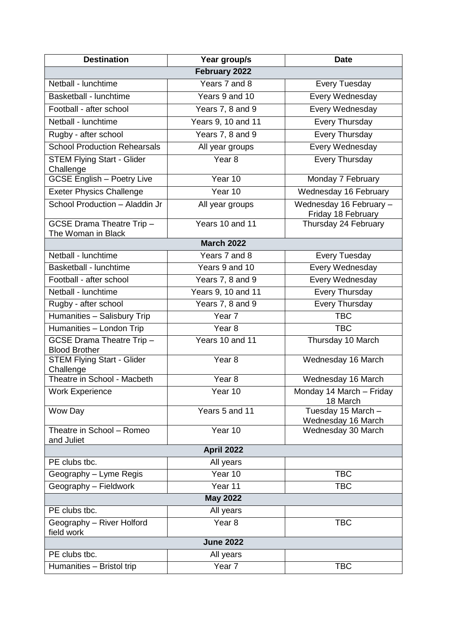| <b>Destination</b>                                       | Year group/s       | <b>Date</b>                                   |  |  |
|----------------------------------------------------------|--------------------|-----------------------------------------------|--|--|
| February 2022                                            |                    |                                               |  |  |
| Netball - lunchtime                                      | Years 7 and 8      | <b>Every Tuesday</b>                          |  |  |
| Basketball - lunchtime                                   | Years 9 and 10     | Every Wednesday                               |  |  |
| Football - after school                                  | Years 7, 8 and 9   | Every Wednesday                               |  |  |
| Netball - lunchtime                                      | Years 9, 10 and 11 | Every Thursday                                |  |  |
| Rugby - after school                                     | Years 7, 8 and 9   | <b>Every Thursday</b>                         |  |  |
| <b>School Production Rehearsals</b>                      | All year groups    | Every Wednesday                               |  |  |
| <b>STEM Flying Start - Glider</b><br>Challenge           | Year <sub>8</sub>  | Every Thursday                                |  |  |
| <b>GCSE English - Poetry Live</b>                        | Year 10            | Monday 7 February                             |  |  |
| <b>Exeter Physics Challenge</b>                          | Year 10            | Wednesday 16 February                         |  |  |
| School Production - Aladdin Jr                           | All year groups    | Wednesday 16 February -<br>Friday 18 February |  |  |
| <b>GCSE Drama Theatre Trip -</b><br>The Woman in Black   | Years 10 and 11    | Thursday 24 February                          |  |  |
|                                                          | <b>March 2022</b>  |                                               |  |  |
| Netball - lunchtime                                      | Years 7 and 8      | <b>Every Tuesday</b>                          |  |  |
| Basketball - lunchtime                                   | Years 9 and 10     | Every Wednesday                               |  |  |
| Football - after school                                  | Years 7, 8 and 9   | Every Wednesday                               |  |  |
| Netball - lunchtime                                      | Years 9, 10 and 11 | Every Thursday                                |  |  |
| Rugby - after school                                     | Years 7, 8 and 9   | Every Thursday                                |  |  |
| Humanities - Salisbury Trip                              | Year 7             | <b>TBC</b>                                    |  |  |
| Humanities - London Trip                                 | Year <sub>8</sub>  | <b>TBC</b>                                    |  |  |
| <b>GCSE Drama Theatre Trip -</b><br><b>Blood Brother</b> | Years 10 and 11    | Thursday 10 March                             |  |  |
| <b>STEM Flying Start - Glider</b><br>Challenge           | Year <sub>8</sub>  | Wednesday 16 March                            |  |  |
| Theatre in School - Macbeth                              | Year <sub>8</sub>  | Wednesday 16 March                            |  |  |
| Work Experience                                          | Year 10            | Monday 14 March - Friday<br>18 March          |  |  |
| Wow Day                                                  | Years 5 and 11     | Tuesday 15 March -<br>Wednesday 16 March      |  |  |
| Theatre in School - Romeo<br>and Juliet                  | Year 10            | Wednesday 30 March                            |  |  |
| April 2022                                               |                    |                                               |  |  |
| PE clubs tbc.                                            | All years          |                                               |  |  |
| Geography - Lyme Regis                                   | Year 10            | <b>TBC</b>                                    |  |  |
| Geography - Fieldwork                                    | Year 11            | <b>TBC</b>                                    |  |  |
| <b>May 2022</b>                                          |                    |                                               |  |  |
| PE clubs tbc.                                            | All years          |                                               |  |  |
| Geography - River Holford<br>field work                  | Year <sub>8</sub>  | <b>TBC</b>                                    |  |  |
| <b>June 2022</b>                                         |                    |                                               |  |  |
| PE clubs tbc.                                            | All years          |                                               |  |  |
| Humanities - Bristol trip                                | Year 7             | <b>TBC</b>                                    |  |  |